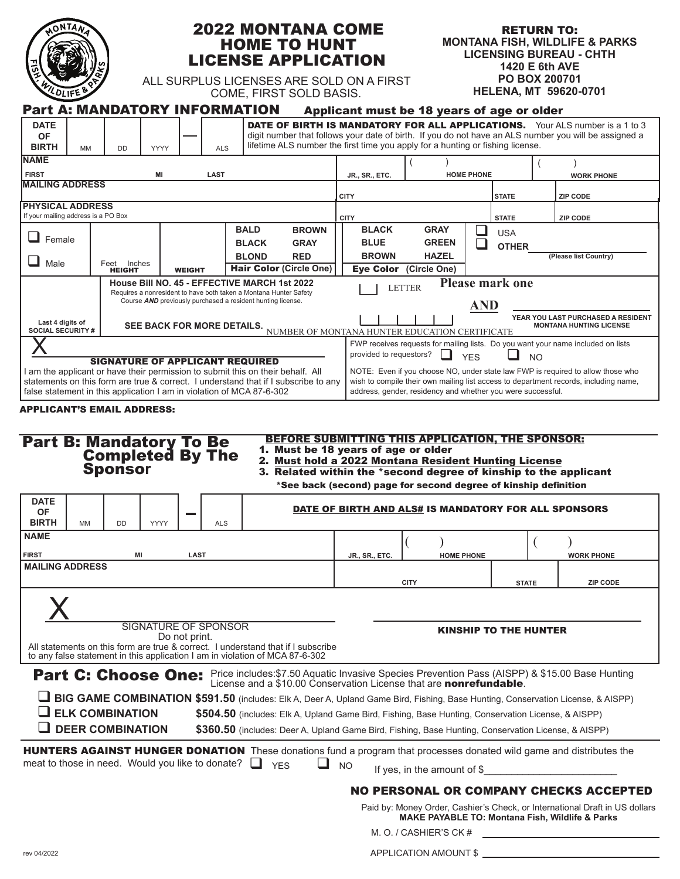| NTANT       |  |
|-------------|--|
|             |  |
|             |  |
| VOLIFE<br>8 |  |
|             |  |

# 2022 MONTANA COME HOME TO HUNT LICENSE APPLICATION

RETURN TO: **MONTANA FISH, WILDLIFE & PARKS LICENSING BUREAU - CHTH 1420 E 6th AVE PO BOX 200701 HELENA, MT 59620-0701**

ALL SURPLUS LICENSES ARE SOLD ON A FIRST COME, FIRST SOLD BASIS.

|                                                                                                                                                                                                                                                                                           |                              |      |                                       | <b>Part A: MANDATORY INFORMATION</b>                                                                                                                                                                                              | Applicant must be 18 years of age or older                                                                                                                                                                                             |                                                      |                                      |           |                                                                                                                                                                                              |
|-------------------------------------------------------------------------------------------------------------------------------------------------------------------------------------------------------------------------------------------------------------------------------------------|------------------------------|------|---------------------------------------|-----------------------------------------------------------------------------------------------------------------------------------------------------------------------------------------------------------------------------------|----------------------------------------------------------------------------------------------------------------------------------------------------------------------------------------------------------------------------------------|------------------------------------------------------|--------------------------------------|-----------|----------------------------------------------------------------------------------------------------------------------------------------------------------------------------------------------|
| <b>DATE</b><br><b>OF</b><br><b>BIRTH</b><br><b>MM</b>                                                                                                                                                                                                                                     | DD                           | YYYY | <b>ALS</b>                            |                                                                                                                                                                                                                                   | lifetime ALS number the first time you apply for a hunting or fishing license.                                                                                                                                                         |                                                      |                                      |           | <b>DATE OF BIRTH IS MANDATORY FOR ALL APPLICATIONS.</b> Your ALS number is a 1 to 3<br>digit number that follows your date of birth. If you do not have an ALS number you will be assigned a |
| <b>NAME</b>                                                                                                                                                                                                                                                                               |                              |      |                                       |                                                                                                                                                                                                                                   |                                                                                                                                                                                                                                        |                                                      |                                      |           |                                                                                                                                                                                              |
| <b>FIRST</b><br>MI<br><b>LAST</b><br><b>MAILING ADDRESS</b>                                                                                                                                                                                                                               |                              |      | JR., SR., ETC.                        | <b>HOME PHONE</b>                                                                                                                                                                                                                 |                                                                                                                                                                                                                                        |                                                      | <b>WORK PHONE</b>                    |           |                                                                                                                                                                                              |
| <b>PHYSICAL ADDRESS</b>                                                                                                                                                                                                                                                                   |                              |      | <b>CITY</b>                           |                                                                                                                                                                                                                                   | <b>STATE</b>                                                                                                                                                                                                                           |                                                      | <b>ZIP CODE</b>                      |           |                                                                                                                                                                                              |
| If your mailing address is a PO Box                                                                                                                                                                                                                                                       |                              |      | <b>CITY</b>                           |                                                                                                                                                                                                                                   | <b>STATE</b>                                                                                                                                                                                                                           |                                                      | <b>ZIP CODE</b>                      |           |                                                                                                                                                                                              |
| Female                                                                                                                                                                                                                                                                                    |                              |      |                                       | <b>BALD</b><br><b>BROWN</b>                                                                                                                                                                                                       | <b>BLACK</b>                                                                                                                                                                                                                           | <b>GRAY</b>                                          | <b>USA</b>                           |           |                                                                                                                                                                                              |
|                                                                                                                                                                                                                                                                                           |                              |      |                                       | <b>BLACK</b><br><b>GRAY</b><br><b>BLOND</b><br><b>RED</b>                                                                                                                                                                         | <b>BLUE</b><br><b>BROWN</b>                                                                                                                                                                                                            | <b>GREEN</b><br><b>HAZEL</b>                         | <b>OTHER</b>                         |           | (Please list Country)                                                                                                                                                                        |
| Male                                                                                                                                                                                                                                                                                      | Feet Inches<br><b>HEIGHT</b> |      | <b>WEIGHT</b>                         | <b>Hair Color (Circle One)</b>                                                                                                                                                                                                    | <b>Eye Color</b>                                                                                                                                                                                                                       | (Circle One)                                         |                                      |           |                                                                                                                                                                                              |
|                                                                                                                                                                                                                                                                                           |                              |      |                                       | <b>House Bill NO. 45 - EFFECTIVE MARCH 1st 2022</b><br>Requires a nonresident to have both taken a Montana Hunter Safety<br>Course AND previously purchased a resident hunting license.                                           |                                                                                                                                                                                                                                        | <b>LETTER</b>                                        | <b>Please mark one</b><br><b>AND</b> |           |                                                                                                                                                                                              |
| Last 4 digits of<br><b>SOCIAL SECURITY #</b>                                                                                                                                                                                                                                              |                              |      | SEE BACK FOR MORE DETAILS.            |                                                                                                                                                                                                                                   | NUMBER OF MONTANA HUNTER EDUCATION CERTIFICATE                                                                                                                                                                                         |                                                      |                                      |           | YEAR YOU LAST PURCHASED A RESIDENT<br><b>MONTANA HUNTING LICENSE</b>                                                                                                                         |
|                                                                                                                                                                                                                                                                                           |                              |      |                                       |                                                                                                                                                                                                                                   | provided to requestors?                                                                                                                                                                                                                |                                                      | <b>YES</b>                           | <b>NO</b> | FWP receives requests for mailing lists. Do you want your name included on lists                                                                                                             |
| <b>SIGNATURE OF APPLICANT REQUIRED</b><br>I am the applicant or have their permission to submit this on their behalf. All<br>statements on this form are true & correct. I understand that if I subscribe to any<br>false statement in this application I am in violation of MCA 87-6-302 |                              |      |                                       |                                                                                                                                                                                                                                   | NOTE: Even if you choose NO, under state law FWP is required to allow those who<br>wish to compile their own mailing list access to department records, including name,<br>address, gender, residency and whether you were successful. |                                                      |                                      |           |                                                                                                                                                                                              |
|                                                                                                                                                                                                                                                                                           | <b>Sponsor</b>               |      |                                       |                                                                                                                                                                                                                                   |                                                                                                                                                                                                                                        | 2. Must hold a 2022 Montana Resident Hunting License |                                      |           |                                                                                                                                                                                              |
|                                                                                                                                                                                                                                                                                           |                              |      |                                       |                                                                                                                                                                                                                                   | 3. Related within the *second degree of kinship to the applicant<br>*See back (second) page for second degree of kinship definition                                                                                                    |                                                      |                                      |           |                                                                                                                                                                                              |
| <b>DATE</b><br><b>OF</b><br><b>BIRTH</b><br><b>MM</b>                                                                                                                                                                                                                                     | <b>DD</b>                    | YYYY | <b>ALS</b>                            |                                                                                                                                                                                                                                   | <b>DATE OF BIRTH AND ALS# IS MANDATORY FOR ALL SPONSORS</b>                                                                                                                                                                            |                                                      |                                      |           |                                                                                                                                                                                              |
|                                                                                                                                                                                                                                                                                           |                              |      |                                       |                                                                                                                                                                                                                                   |                                                                                                                                                                                                                                        |                                                      |                                      |           |                                                                                                                                                                                              |
|                                                                                                                                                                                                                                                                                           | ΜI                           |      | LAST                                  |                                                                                                                                                                                                                                   | JR., SR., ETC                                                                                                                                                                                                                          | <b>HOME PHONE</b>                                    |                                      |           | <b>WORK PHONE</b>                                                                                                                                                                            |
|                                                                                                                                                                                                                                                                                           |                              |      |                                       |                                                                                                                                                                                                                                   |                                                                                                                                                                                                                                        | <b>CITY</b>                                          | <b>STATE</b>                         |           | <b>ZIP CODE</b>                                                                                                                                                                              |
|                                                                                                                                                                                                                                                                                           |                              |      |                                       |                                                                                                                                                                                                                                   |                                                                                                                                                                                                                                        |                                                      |                                      |           |                                                                                                                                                                                              |
| <b>NAME</b><br><b>FIRST</b><br><b>MAILING ADDRESS</b>                                                                                                                                                                                                                                     |                              |      | SIGNATURE OF SPONSOR<br>Do not print. | All statements on this form are true & correct. I understand that if I subscribe                                                                                                                                                  |                                                                                                                                                                                                                                        |                                                      | <b>KINSHIP TO THE HUNTER</b>         |           |                                                                                                                                                                                              |
|                                                                                                                                                                                                                                                                                           |                              |      |                                       | to any false statement in this application I am in violation of MCA 87-6-302                                                                                                                                                      |                                                                                                                                                                                                                                        |                                                      |                                      |           |                                                                                                                                                                                              |
|                                                                                                                                                                                                                                                                                           |                              |      |                                       | Part C: Choose One: Price includes: \$7.50 Aquatic Invasive Species Prevention Pass (AISPP) & \$15.00 Base Hunting<br>License and a \$10.00 Conservation License that are <b>nonrefundable</b> .                                  |                                                                                                                                                                                                                                        |                                                      |                                      |           |                                                                                                                                                                                              |
|                                                                                                                                                                                                                                                                                           |                              |      |                                       | BIG GAME COMBINATION \$591.50 (includes: Elk A, Deer A, Upland Game Bird, Fishing, Base Hunting, Conservation License, & AISPP)                                                                                                   |                                                                                                                                                                                                                                        |                                                      |                                      |           |                                                                                                                                                                                              |
|                                                                                                                                                                                                                                                                                           | <b>ELK COMBINATION</b>       |      |                                       | \$504.50 (includes: Elk A, Upland Game Bird, Fishing, Base Hunting, Conservation License, & AISPP)                                                                                                                                |                                                                                                                                                                                                                                        |                                                      |                                      |           |                                                                                                                                                                                              |
|                                                                                                                                                                                                                                                                                           | <b>DEER COMBINATION</b>      |      |                                       | \$360.50 (includes: Deer A, Upland Game Bird, Fishing, Base Hunting, Conservation License, & AISPP)<br><b>HUNTERS AGAINST HUNGER DONATION</b> These donations fund a program that processes donated wild game and distributes the |                                                                                                                                                                                                                                        |                                                      |                                      |           |                                                                                                                                                                                              |
| meat to those in need. Would you like to donate?                                                                                                                                                                                                                                          |                              |      |                                       | <b>YFS</b>                                                                                                                                                                                                                        | ப<br><b>NO</b>                                                                                                                                                                                                                         | If yes, in the amount of $$$                         |                                      |           |                                                                                                                                                                                              |

Paid by: Money Order, Cashier's Check, or International Draft in US dollars **MAKE PAYABLE TO: Montana Fish, Wildlife & Parks**

M. O. / CASHIER'S CK #